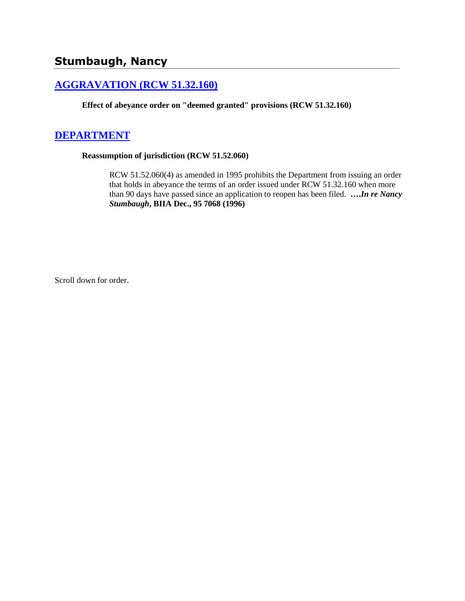# **Stumbaugh, Nancy**

## **[AGGRAVATION \(RCW 51.32.160\)](http://www.biia.wa.gov/SDSubjectIndex.html#AGGRAVATION)**

**Effect of abeyance order on "deemed granted" provisions (RCW 51.32.160)**

### **[DEPARTMENT](http://www.biia.wa.gov/SDSubjectIndex.html#DEPARTMENT)**

#### **Reassumption of jurisdiction (RCW 51.52.060)**

RCW 51.52.060(4) as amended in 1995 prohibits the Department from issuing an order that holds in abeyance the terms of an order issued under RCW 51.32.160 when more than 90 days have passed since an application to reopen has been filed. **….***In re Nancy Stumbaugh***, BIIA Dec., 95 7068 (1996)** 

Scroll down for order.